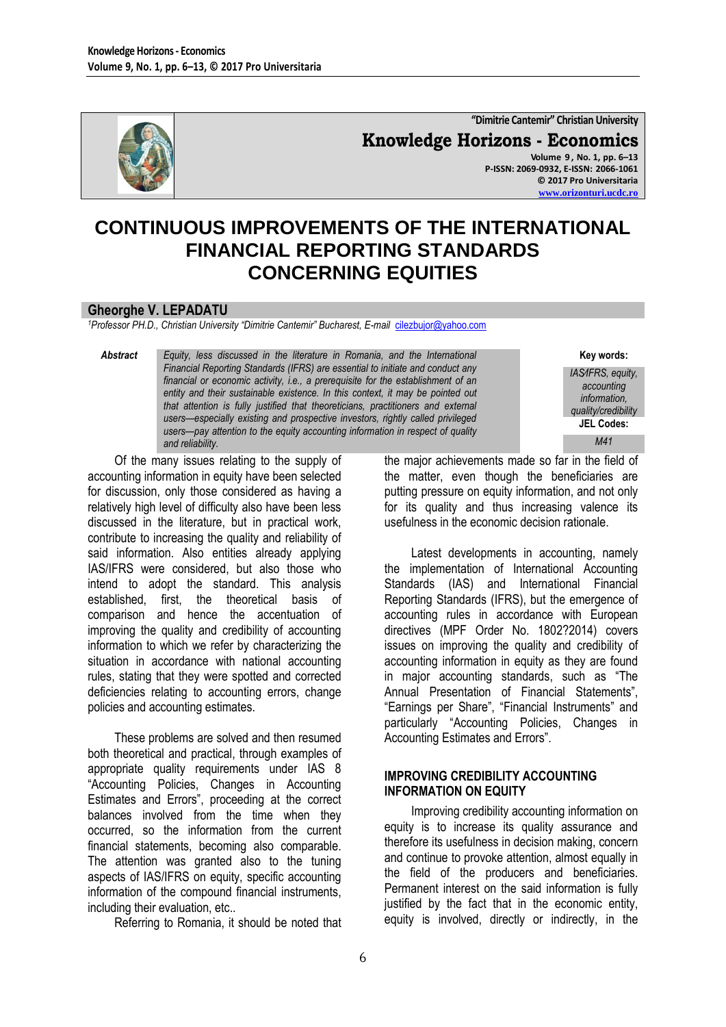

**"Dimitrie Cantemir" Christian University Knowledge Horizons - Economics Volume 9 , No. 1, pp. 6–13 P-ISSN: 2069-0932, E-ISSN: 2066-1061 © 2017 Pro Universitaria [www.orizonturi.ucdc.ro](http://www.orizonturi.ucdc.ro/)**

# **CONTINUOUS IMPROVEMENTS OF THE INTERNATIONAL FINANCIAL REPORTING STANDARDS CONCERNING EQUITIES**

#### **Gheorghe V. LEPADATU**

<sup>1</sup>Professor PH.D., Christian University "Dimitrie Cantemir" Bucharest, E-mail *[cilezbujor@yahoo.com](mailto:cilezbujor@yahoo.com)* 

*Abstract Equity, less discussed in the literature in Romania, and the International Financial Reporting Standards (IFRS) are essential to initiate and conduct any financial or economic activity, i.e., a prerequisite for the establishment of an entity and their sustainable existence. In this context, it may be pointed out that attention is fully justified that theoreticians, practitioners and external users—especially existing and prospective investors, rightly called privileged users—pay attention to the equity accounting information in respect of quality and reliability.*

Of the many issues relating to the supply of accounting information in equity have been selected for discussion, only those considered as having a relatively high level of difficulty also have been less discussed in the literature, but in practical work, contribute to increasing the quality and reliability of said information. Also entities already applying IAS/IFRS were considered, but also those who intend to adopt the standard. This analysis established, first, the theoretical basis of comparison and hence the accentuation of improving the quality and credibility of accounting information to which we refer by characterizing the situation in accordance with national accounting rules, stating that they were spotted and corrected deficiencies relating to accounting errors, change policies and accounting estimates.

These problems are solved and then resumed both theoretical and practical, through examples of appropriate quality requirements under IAS 8 "Accounting Policies, Changes in Accounting Estimates and Errors", proceeding at the correct balances involved from the time when they occurred, so the information from the current financial statements, becoming also comparable. The attention was granted also to the tuning aspects of IAS/IFRS on equity, specific accounting information of the compound financial instruments, including their evaluation, etc..

Referring to Romania, it should be noted that

the major achievements made so far in the field of the matter, even though the beneficiaries are putting pressure on equity information, and not only for its quality and thus increasing valence its usefulness in the economic decision rationale.

**Key words:** *IAS∕IFRS, equity, accounting information, quality/credibility* **JEL Codes:** *M41*

Latest developments in accounting, namely the implementation of International Accounting Standards (IAS) and International Financial Reporting Standards (IFRS), but the emergence of accounting rules in accordance with European directives (MPF Order No. 1802?2014) covers issues on improving the quality and credibility of accounting information in equity as they are found in major accounting standards, such as "The Annual Presentation of Financial Statements", "Earnings per Share", "Financial Instruments" and particularly "Accounting Policies, Changes in Accounting Estimates and Errors".

#### **IMPROVING CREDIBILITY ACCOUNTING INFORMATION ON EQUITY**

Improving credibility accounting information on equity is to increase its quality assurance and therefore its usefulness in decision making, concern and continue to provoke attention, almost equally in the field of the producers and beneficiaries. Permanent interest on the said information is fully justified by the fact that in the economic entity. equity is involved, directly or indirectly, in the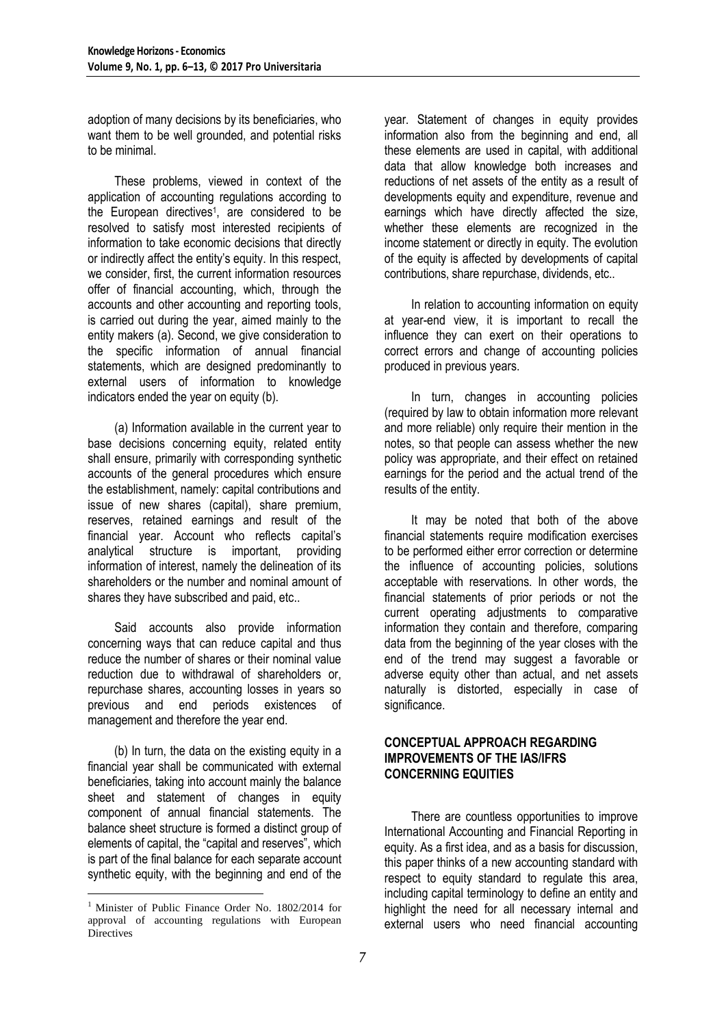adoption of many decisions by its beneficiaries, who want them to be well grounded, and potential risks to be minimal.

These problems, viewed in context of the application of accounting regulations according to the European directives<sup>1</sup>, are considered to be resolved to satisfy most interested recipients of information to take economic decisions that directly or indirectly affect the entity's equity. In this respect, we consider, first, the current information resources offer of financial accounting, which, through the accounts and other accounting and reporting tools, is carried out during the year, aimed mainly to the entity makers (a). Second, we give consideration to the specific information of annual financial statements, which are designed predominantly to external users of information to knowledge indicators ended the year on equity (b).

(a) Information available in the current year to base decisions concerning equity, related entity shall ensure, primarily with corresponding synthetic accounts of the general procedures which ensure the establishment, namely: capital contributions and issue of new shares (capital), share premium, reserves, retained earnings and result of the financial year. Account who reflects capital's analytical structure is important, providing information of interest, namely the delineation of its shareholders or the number and nominal amount of shares they have subscribed and paid, etc..

Said accounts also provide information concerning ways that can reduce capital and thus reduce the number of shares or their nominal value reduction due to withdrawal of shareholders or, repurchase shares, accounting losses in years so previous and end periods existences of management and therefore the year end.

(b) In turn, the data on the existing equity in a financial year shall be communicated with external beneficiaries, taking into account mainly the balance sheet and statement of changes in equity component of annual financial statements. The balance sheet structure is formed a distinct group of elements of capital, the "capital and reserves", which is part of the final balance for each separate account synthetic equity, with the beginning and end of the

<u>.</u>

year. Statement of changes in equity provides information also from the beginning and end, all these elements are used in capital, with additional data that allow knowledge both increases and reductions of net assets of the entity as a result of developments equity and expenditure, revenue and earnings which have directly affected the size, whether these elements are recognized in the income statement or directly in equity. The evolution of the equity is affected by developments of capital contributions, share repurchase, dividends, etc..

In relation to accounting information on equity at year-end view, it is important to recall the influence they can exert on their operations to correct errors and change of accounting policies produced in previous years.

In turn, changes in accounting policies (required by law to obtain information more relevant and more reliable) only require their mention in the notes, so that people can assess whether the new policy was appropriate, and their effect on retained earnings for the period and the actual trend of the results of the entity.

It may be noted that both of the above financial statements require modification exercises to be performed either error correction or determine the influence of accounting policies, solutions acceptable with reservations. In other words, the financial statements of prior periods or not the current operating adjustments to comparative information they contain and therefore, comparing data from the beginning of the year closes with the end of the trend may suggest a favorable or adverse equity other than actual, and net assets naturally is distorted, especially in case of significance.

#### **CONCEPTUAL APPROACH REGARDING IMPROVEMENTS OF THE IAS/IFRS CONCERNING EQUITIES**

There are countless opportunities to improve International Accounting and Financial Reporting in equity. As a first idea, and as a basis for discussion, this paper thinks of a new accounting standard with respect to equity standard to regulate this area, including capital terminology to define an entity and highlight the need for all necessary internal and external users who need financial accounting

<sup>&</sup>lt;sup>1</sup> Minister of Public Finance Order No. 1802/2014 for approval of accounting regulations with European **Directives**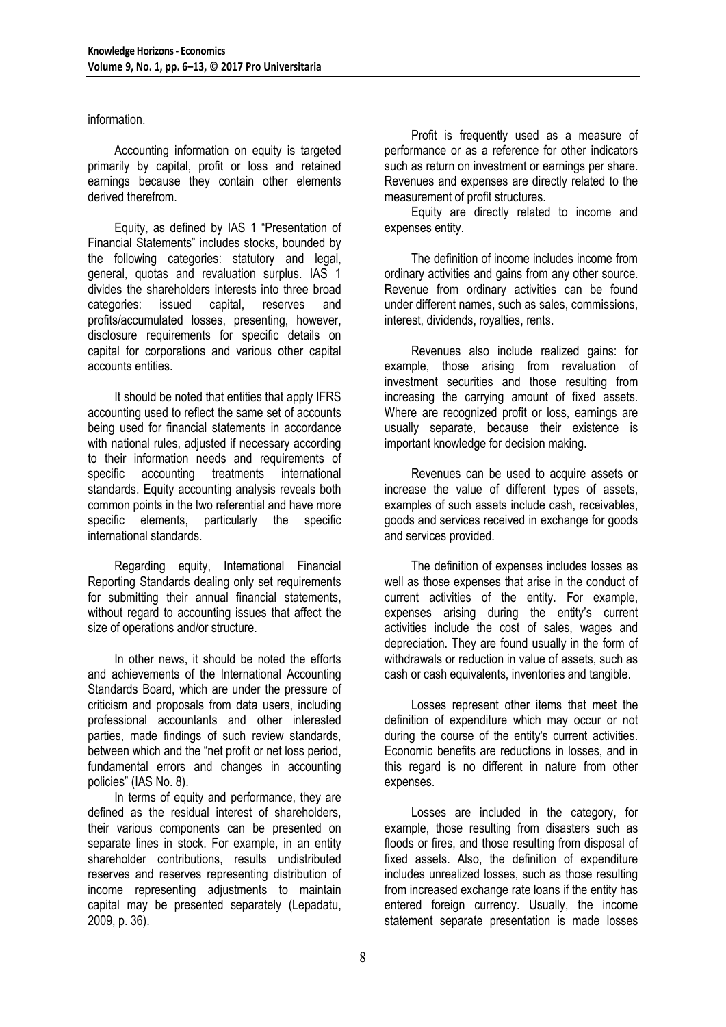information.

Accounting information on equity is targeted primarily by capital, profit or loss and retained earnings because they contain other elements derived therefrom.

Equity, as defined by IAS 1 "Presentation of Financial Statements" includes stocks, bounded by the following categories: statutory and legal, general, quotas and revaluation surplus. IAS 1 divides the shareholders interests into three broad categories: issued capital, reserves and categories: issued capital, reserves and profits/accumulated losses, presenting, however, disclosure requirements for specific details on capital for corporations and various other capital accounts entities.

It should be noted that entities that apply IFRS accounting used to reflect the same set of accounts being used for financial statements in accordance with national rules, adjusted if necessary according to their information needs and requirements of specific accounting treatments international standards. Equity accounting analysis reveals both common points in the two referential and have more specific elements, particularly the specific international standards.

Regarding equity, International Financial Reporting Standards dealing only set requirements for submitting their annual financial statements, without regard to accounting issues that affect the size of operations and/or structure.

In other news, it should be noted the efforts and achievements of the International Accounting Standards Board, which are under the pressure of criticism and proposals from data users, including professional accountants and other interested parties, made findings of such review standards, between which and the "net profit or net loss period, fundamental errors and changes in accounting policies" (IAS No. 8).

In terms of equity and performance, they are defined as the residual interest of shareholders, their various components can be presented on separate lines in stock. For example, in an entity shareholder contributions, results undistributed reserves and reserves representing distribution of income representing adjustments to maintain capital may be presented separately (Lepadatu, 2009, p. 36).

Profit is frequently used as a measure of performance or as a reference for other indicators such as return on investment or earnings per share. Revenues and expenses are directly related to the measurement of profit structures.

Equity are directly related to income and expenses entity.

The definition of income includes income from ordinary activities and gains from any other source. Revenue from ordinary activities can be found under different names, such as sales, commissions, interest, dividends, royalties, rents.

Revenues also include realized gains: for example, those arising from revaluation of investment securities and those resulting from increasing the carrying amount of fixed assets. Where are recognized profit or loss, earnings are usually separate, because their existence is important knowledge for decision making.

Revenues can be used to acquire assets or increase the value of different types of assets, examples of such assets include cash, receivables, goods and services received in exchange for goods and services provided.

The definition of expenses includes losses as well as those expenses that arise in the conduct of current activities of the entity. For example, expenses arising during the entity's current activities include the cost of sales, wages and depreciation. They are found usually in the form of withdrawals or reduction in value of assets, such as cash or cash equivalents, inventories and tangible.

Losses represent other items that meet the definition of expenditure which may occur or not during the course of the entity's current activities. Economic benefits are reductions in losses, and in this regard is no different in nature from other expenses.

Losses are included in the category, for example, those resulting from disasters such as floods or fires, and those resulting from disposal of fixed assets. Also, the definition of expenditure includes unrealized losses, such as those resulting from increased exchange rate loans if the entity has entered foreign currency. Usually, the income statement separate presentation is made losses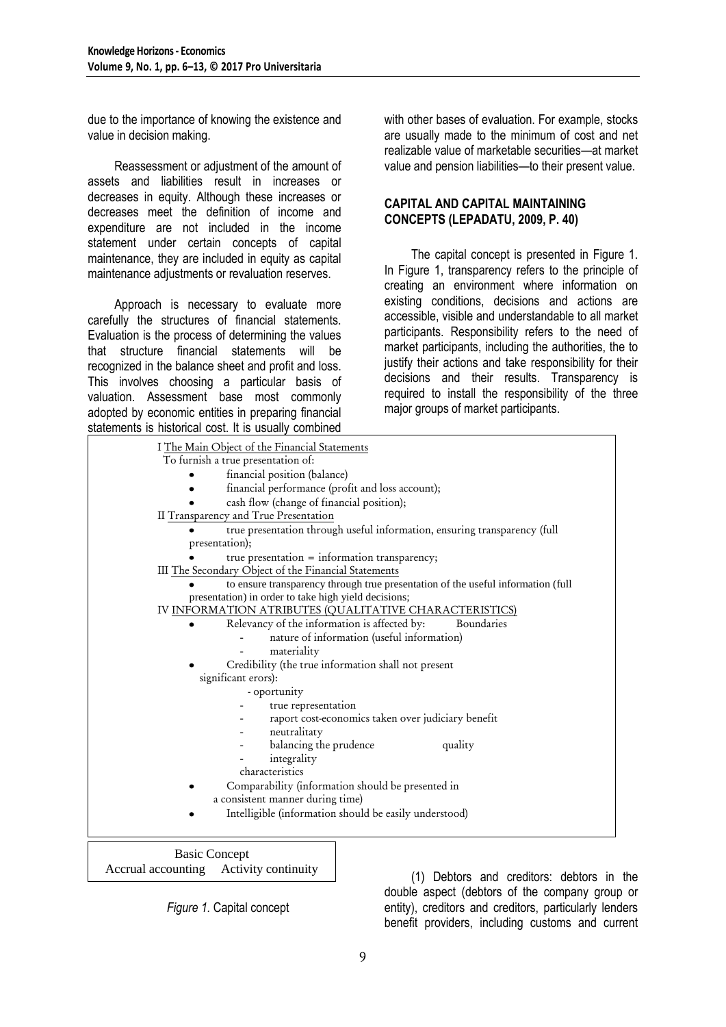due to the importance of knowing the existence and value in decision making.

Reassessment or adjustment of the amount of assets and liabilities result in increases or decreases in equity. Although these increases or decreases meet the definition of income and expenditure are not included in the income statement under certain concepts of capital maintenance, they are included in equity as capital maintenance adjustments or revaluation reserves.

Approach is necessary to evaluate more carefully the structures of financial statements. Evaluation is the process of determining the values that structure financial statements will be recognized in the balance sheet and profit and loss. This involves choosing a particular basis of valuation. Assessment base most commonly adopted by economic entities in preparing financial statements is historical cost. It is usually combined

with other bases of evaluation. For example, stocks are usually made to the minimum of cost and net realizable value of marketable securities—at market value and pension liabilities—to their present value.

### **CAPITAL AND CAPITAL MAINTAINING CONCEPTS (LEPADATU, 2009, P. 40)**

The capital concept is presented in Figure 1. In Figure 1, transparency refers to the principle of creating an environment where information on existing conditions, decisions and actions are accessible, visible and understandable to all market participants. Responsibility refers to the need of market participants, including the authorities, the to justify their actions and take responsibility for their decisions and their results. Transparency is required to install the responsibility of the three major groups of market participants.

| I The Main Object of the Financial Statements                                    |
|----------------------------------------------------------------------------------|
| To furnish a true presentation of:                                               |
| financial position (balance)                                                     |
| financial performance (profit and loss account);                                 |
| cash flow (change of financial position);                                        |
| II Transparency and True Presentation                                            |
| true presentation through useful information, ensuring transparency (full        |
| presentation);                                                                   |
| true presentation = information transparency;                                    |
| III The Secondary Object of the Financial Statements                             |
| to ensure transparency through true presentation of the useful information (full |
| presentation) in order to take high yield decisions;                             |
| IV INFORMATION ATRIBUTES (QUALITATIVE CHARACTERISTICS)                           |
| Relevancy of the information is affected by:<br>Boundaries                       |
| nature of information (useful information)                                       |
| materiality                                                                      |
| Credibility (the true information shall not present                              |
| significant erors):                                                              |
| - oportunity                                                                     |
| true representation                                                              |
| raport cost-economics taken over judiciary benefit                               |
| neutralitaty                                                                     |
| balancing the prudence<br>quality                                                |
| integrality                                                                      |
| characteristics                                                                  |
| Comparability (information should be presented in                                |
| a consistent manner during time)                                                 |
| Intelligible (information should be easily understood)                           |
|                                                                                  |
|                                                                                  |

Basic Concept Accrual accounting Activity continuity

*Figure 1.* Capital concept

(1) Debtors and creditors: debtors in the double aspect (debtors of the company group or entity), creditors and creditors, particularly lenders benefit providers, including customs and current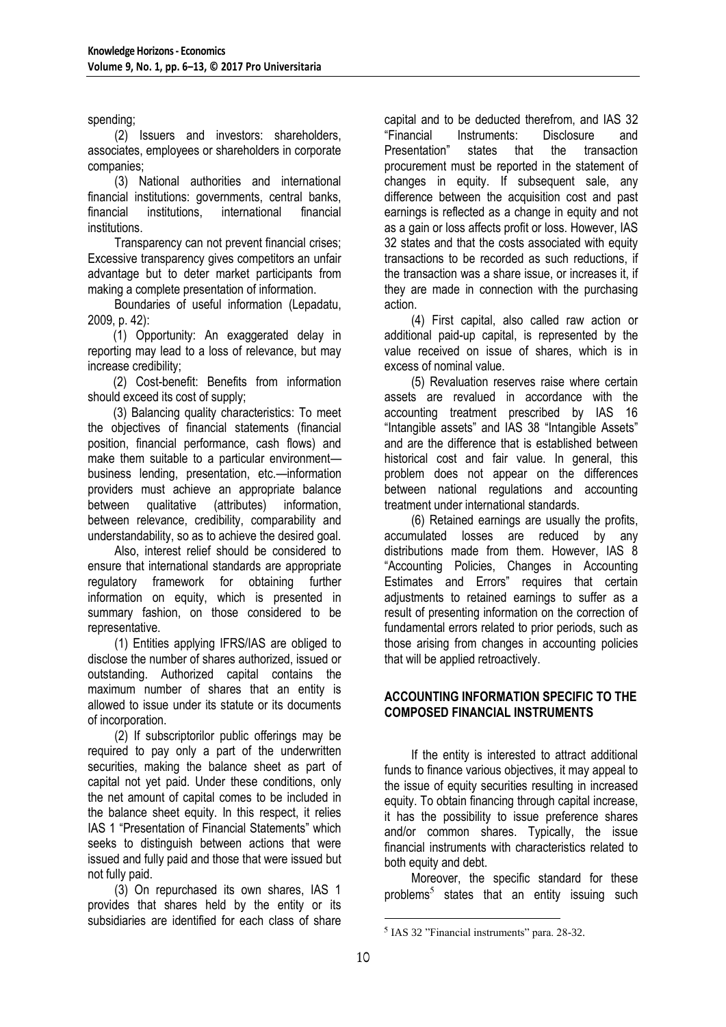spending;

(2) Issuers and investors: shareholders, associates, employees or shareholders in corporate companies;

(3) National authorities and international financial institutions: governments, central banks, financial institutions, international financial institutions.

Transparency can not prevent financial crises; Excessive transparency gives competitors an unfair advantage but to deter market participants from making a complete presentation of information.

Boundaries of useful information (Lepadatu, 2009, p. 42):

(1) Opportunity: An exaggerated delay in reporting may lead to a loss of relevance, but may increase credibility;

(2) Cost-benefit: Benefits from information should exceed its cost of supply;

(3) Balancing quality characteristics: To meet the objectives of financial statements (financial position, financial performance, cash flows) and make them suitable to a particular environment business lending, presentation, etc.—information providers must achieve an appropriate balance between qualitative (attributes) information, between relevance, credibility, comparability and understandability, so as to achieve the desired goal.

Also, interest relief should be considered to ensure that international standards are appropriate regulatory framework for obtaining further information on equity, which is presented in summary fashion, on those considered to be representative.

(1) Entities applying IFRS/IAS are obliged to disclose the number of shares authorized, issued or outstanding. Authorized capital contains the maximum number of shares that an entity is allowed to issue under its statute or its documents of incorporation.

(2) If subscriptorilor public offerings may be required to pay only a part of the underwritten securities, making the balance sheet as part of capital not yet paid. Under these conditions, only the net amount of capital comes to be included in the balance sheet equity. In this respect, it relies IAS 1 "Presentation of Financial Statements" which seeks to distinguish between actions that were issued and fully paid and those that were issued but not fully paid.

(3) On repurchased its own shares, IAS 1 provides that shares held by the entity or its subsidiaries are identified for each class of share

capital and to be deducted therefrom, and IAS 32 ―Financial Instruments: Disclosure and Presentation‖ states that the transaction procurement must be reported in the statement of changes in equity. If subsequent sale, any difference between the acquisition cost and past earnings is reflected as a change in equity and not as a gain or loss affects profit or loss. However, IAS 32 states and that the costs associated with equity transactions to be recorded as such reductions, if the transaction was a share issue, or increases it, if they are made in connection with the purchasing action.

(4) First capital, also called raw action or additional paid-up capital, is represented by the value received on issue of shares, which is in excess of nominal value.

(5) Revaluation reserves raise where certain assets are revalued in accordance with the accounting treatment prescribed by IAS 16 "Intangible assets" and IAS 38 "Intangible Assets" and are the difference that is established between historical cost and fair value. In general, this problem does not appear on the differences between national regulations and accounting treatment under international standards.

(6) Retained earnings are usually the profits, accumulated losses are reduced by any distributions made from them. However, IAS 8 "Accounting Policies, Changes in Accounting Estimates and Errors" requires that certain adjustments to retained earnings to suffer as a result of presenting information on the correction of fundamental errors related to prior periods, such as those arising from changes in accounting policies that will be applied retroactively.

## **ACCOUNTING INFORMATION SPECIFIC TO THE COMPOSED FINANCIAL INSTRUMENTS**

If the entity is interested to attract additional funds to finance various objectives, it may appeal to the issue of equity securities resulting in increased equity. To obtain financing through capital increase, it has the possibility to issue preference shares and/or common shares. Typically, the issue financial instruments with characteristics related to both equity and debt.

Moreover, the specific standard for these problems<sup>5</sup> states that an entity issuing such

<u>.</u>

 $<sup>5</sup>$  IAS 32 "Financial instruments" para. 28-32.</sup>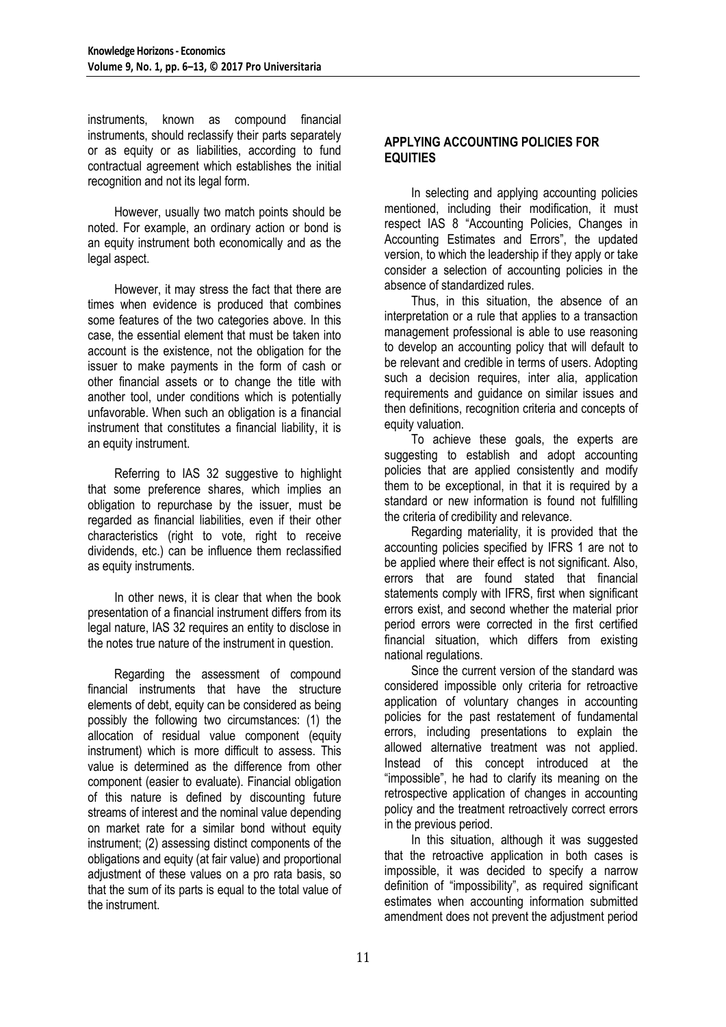instruments, known as compound financial instruments, should reclassify their parts separately or as equity or as liabilities, according to fund contractual agreement which establishes the initial recognition and not its legal form.

However, usually two match points should be noted. For example, an ordinary action or bond is an equity instrument both economically and as the legal aspect.

However, it may stress the fact that there are times when evidence is produced that combines some features of the two categories above. In this case, the essential element that must be taken into account is the existence, not the obligation for the issuer to make payments in the form of cash or other financial assets or to change the title with another tool, under conditions which is potentially unfavorable. When such an obligation is a financial instrument that constitutes a financial liability, it is an equity instrument.

Referring to IAS 32 suggestive to highlight that some preference shares, which implies an obligation to repurchase by the issuer, must be regarded as financial liabilities, even if their other characteristics (right to vote, right to receive dividends, etc.) can be influence them reclassified as equity instruments.

In other news, it is clear that when the book presentation of a financial instrument differs from its legal nature, IAS 32 requires an entity to disclose in the notes true nature of the instrument in question.

Regarding the assessment of compound financial instruments that have the structure elements of debt, equity can be considered as being possibly the following two circumstances: (1) the allocation of residual value component (equity instrument) which is more difficult to assess. This value is determined as the difference from other component (easier to evaluate). Financial obligation of this nature is defined by discounting future streams of interest and the nominal value depending on market rate for a similar bond without equity instrument; (2) assessing distinct components of the obligations and equity (at fair value) and proportional adjustment of these values on a pro rata basis, so that the sum of its parts is equal to the total value of the instrument.

## **APPLYING ACCOUNTING POLICIES FOR EQUITIES**

In selecting and applying accounting policies mentioned, including their modification, it must respect IAS 8 "Accounting Policies, Changes in Accounting Estimates and Errors", the updated version, to which the leadership if they apply or take consider a selection of accounting policies in the absence of standardized rules.

Thus, in this situation, the absence of an interpretation or a rule that applies to a transaction management professional is able to use reasoning to develop an accounting policy that will default to be relevant and credible in terms of users. Adopting such a decision requires, inter alia, application requirements and guidance on similar issues and then definitions, recognition criteria and concepts of equity valuation.

To achieve these goals, the experts are suggesting to establish and adopt accounting policies that are applied consistently and modify them to be exceptional, in that it is required by a standard or new information is found not fulfilling the criteria of credibility and relevance.

Regarding materiality, it is provided that the accounting policies specified by IFRS 1 are not to be applied where their effect is not significant. Also, errors that are found stated that financial statements comply with IFRS, first when significant errors exist, and second whether the material prior period errors were corrected in the first certified financial situation, which differs from existing national regulations.

Since the current version of the standard was considered impossible only criteria for retroactive application of voluntary changes in accounting policies for the past restatement of fundamental errors, including presentations to explain the allowed alternative treatment was not applied. Instead of this concept introduced at the "impossible", he had to clarify its meaning on the retrospective application of changes in accounting policy and the treatment retroactively correct errors in the previous period.

In this situation, although it was suggested that the retroactive application in both cases is impossible, it was decided to specify a narrow definition of "impossibility", as required significant estimates when accounting information submitted amendment does not prevent the adjustment period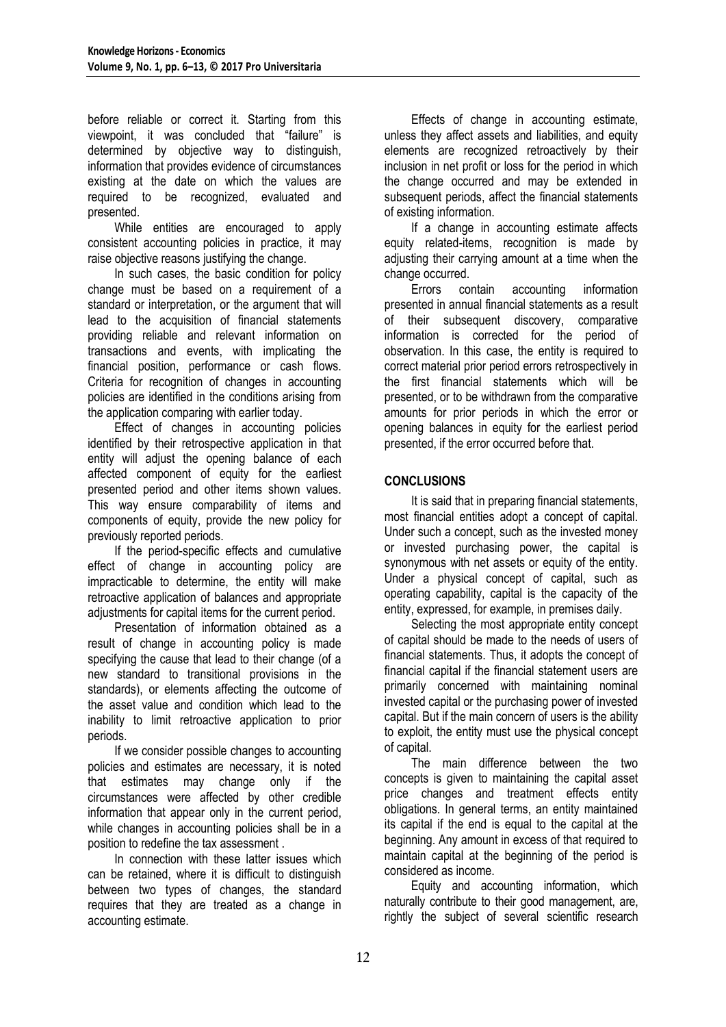before reliable or correct it. Starting from this viewpoint, it was concluded that "failure" is determined by objective way to distinguish, information that provides evidence of circumstances existing at the date on which the values are required to be recognized, evaluated and presented.

While entities are encouraged to apply consistent accounting policies in practice, it may raise objective reasons justifying the change.

In such cases, the basic condition for policy change must be based on a requirement of a standard or interpretation, or the argument that will lead to the acquisition of financial statements providing reliable and relevant information on transactions and events, with implicating the financial position, performance or cash flows. Criteria for recognition of changes in accounting policies are identified in the conditions arising from the application comparing with earlier today.

Effect of changes in accounting policies identified by their retrospective application in that entity will adjust the opening balance of each affected component of equity for the earliest presented period and other items shown values. This way ensure comparability of items and components of equity, provide the new policy for previously reported periods.

If the period-specific effects and cumulative effect of change in accounting policy are impracticable to determine, the entity will make retroactive application of balances and appropriate adjustments for capital items for the current period.

Presentation of information obtained as a result of change in accounting policy is made specifying the cause that lead to their change (of a new standard to transitional provisions in the standards), or elements affecting the outcome of the asset value and condition which lead to the inability to limit retroactive application to prior periods.

If we consider possible changes to accounting policies and estimates are necessary, it is noted that estimates may change only if the circumstances were affected by other credible information that appear only in the current period, while changes in accounting policies shall be in a position to redefine the tax assessment .

In connection with these latter issues which can be retained, where it is difficult to distinguish between two types of changes, the standard requires that they are treated as a change in accounting estimate.

Effects of change in accounting estimate, unless they affect assets and liabilities, and equity elements are recognized retroactively by their inclusion in net profit or loss for the period in which the change occurred and may be extended in subsequent periods, affect the financial statements of existing information.

If a change in accounting estimate affects equity related-items, recognition is made by adjusting their carrying amount at a time when the change occurred.

Errors contain accounting information presented in annual financial statements as a result of their subsequent discovery, comparative information is corrected for the period of observation. In this case, the entity is required to correct material prior period errors retrospectively in the first financial statements which will be presented, or to be withdrawn from the comparative amounts for prior periods in which the error or opening balances in equity for the earliest period presented, if the error occurred before that.

## **CONCLUSIONS**

It is said that in preparing financial statements, most financial entities adopt a concept of capital. Under such a concept, such as the invested money or invested purchasing power, the capital is synonymous with net assets or equity of the entity. Under a physical concept of capital, such as operating capability, capital is the capacity of the entity, expressed, for example, in premises daily.

Selecting the most appropriate entity concept of capital should be made to the needs of users of financial statements. Thus, it adopts the concept of financial capital if the financial statement users are primarily concerned with maintaining nominal invested capital or the purchasing power of invested capital. But if the main concern of users is the ability to exploit, the entity must use the physical concept of capital.

The main difference between the two concepts is given to maintaining the capital asset price changes and treatment effects entity obligations. In general terms, an entity maintained its capital if the end is equal to the capital at the beginning. Any amount in excess of that required to maintain capital at the beginning of the period is considered as income.

Equity and accounting information, which naturally contribute to their good management, are, rightly the subject of several scientific research